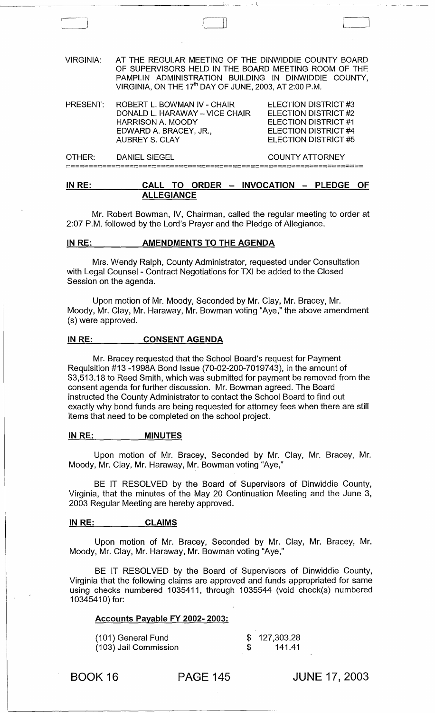VIRGINIA: AT THE REGULAR MEETING OF THE DINWIDDIE COUNTY BOARD OF SUPERVISORS HELD IN THE BOARD MEETING ROOM OF THE PAMPLIN ADMINISTRATION BUILDING IN DINWIDDIE COUNTY, VIRGINIA, ON THE 17<sup>th</sup> DAY OF JUNE, 2003, AT 2:00 P.M.

· I

'-----\_J

| PRESENT: | ROBERT L. BOWMAN IV - CHAIR<br>DONALD L. HARAWAY - VICE CHAIR<br><b>HARRISON A. MOODY</b><br>EDWARD A. BRACEY, JR.,<br><b>AUBREY S. CLAY</b> | ELECTION DISTRICT #3<br><b>ELECTION DISTRICT #2</b><br>ELECTION DISTRICT #1<br>ELECTION DISTRICT #4<br>ELECTION DISTRICT #5 |
|----------|----------------------------------------------------------------------------------------------------------------------------------------------|-----------------------------------------------------------------------------------------------------------------------------|
| OTHER:   | <b>DANIEL SIEGEL</b>                                                                                                                         | <b>COUNTY ATTORNEY</b>                                                                                                      |

==================================================================

# IN RE: CALL TO ORDER - INVOCATION - PLEDGE OF ALLEGIANCE

Mr. Robert Bowman, IV, Chairman, called the regular meeting to order at 2:07 P.M. followed by the Lord's Prayer and the Pledge of Allegiance.

## IN RE: AMENDMENTS TO THE AGENDA

Mrs. Wendy Ralph, County Administrator, requested under Consultation with Legal Counsel - Contract Negotiations for TXI be added to the Closed Session on the agenda.

Upon motion of Mr. Moody, Seconded by Mr. Clay, Mr. Bracey, Mr. Moody, Mr. Clay, Mr. Haraway, Mr. Bowman voting "Aye," the above amendment (s) were approved.

## IN RE: CONSENT AGENDA

Mr. Bracey requested that the School Board's request for Payment Requisition #13 -1998A Bond Issue (70-02-200-7019743), in the amount of \$3,513.18 to Reed Smith, which was submitted for payment be removed from the consent agenda for further discussion. Mr. Bowman agreed. The Board instructed the County Administrator to contact the School Board to find out exactly why bond funds are being requested for attorney fees when there are still items that need to be completed on the school project.

## IN RE: \_\_\_\_\_\_\_\_\_\_ MINUTES

Upon motion of Mr. Bracey, Seconded by Mr. Clay, Mr. Bracey, Mr. Moody, Mr. Clay, Mr. Haraway, Mr. Bowman voting "Aye,"

BE IT RESOLVED by the Board of Supervisors of Dinwiddie County, Virginia, that the minutes of the May 20 Continuation Meeting and the June 3, 2003 Regular Meeting are hereby approved.

## IN RE: CLAIMS

Upon motion of Mr. Bracey, Seconded by Mr. Clay, Mr. Bracey, Mr. Moody, Mr. Clay, Mr. Haraway, Mr. Bowman voting "Aye,"

BE IT RESOLVED by the Board of Supervisors of Dinwiddie County, Virginia that the following claims are approved and funds appropriated for same using checks numbered 1035411, through 1035544 (void check(s) numbered 10345410) for:

## Accounts Payable FY 2002- 2003:

| (101) General Fund    |     | \$127,303.28 |
|-----------------------|-----|--------------|
| (103) Jail Commission | \$. | - 141.41     |

BOOK 16 PAGE 145

JUNE 17,2003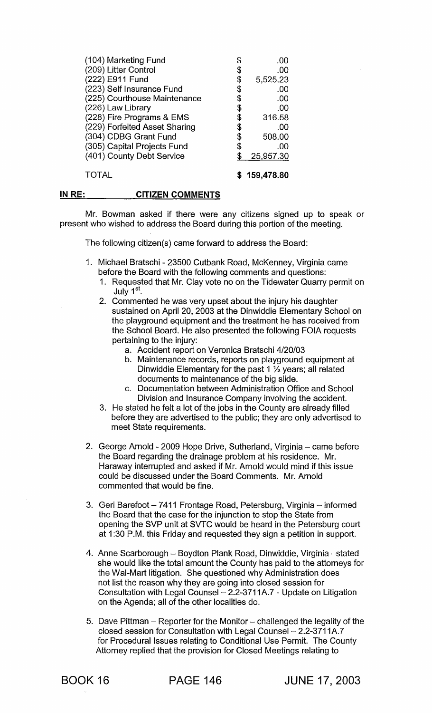| (104) Marketing Fund          | .00            |
|-------------------------------|----------------|
| (209) Litter Control          | \$<br>.00      |
| (222) E911 Fund               | \$<br>5,525.23 |
| (223) Self Insurance Fund     | \$<br>.00      |
| (225) Courthouse Maintenance  | \$<br>.00      |
| (226) Law Library             | \$<br>.00      |
| (228) Fire Programs & EMS     | \$<br>316.58   |
| (229) Forfeited Asset Sharing | \$<br>.00      |
| (304) CDBG Grant Fund         | \$<br>508.00   |
| (305) Capital Projects Fund   | \$<br>.00      |
| (401) County Debt Service     | 25,957.30      |
| <b>TOTAL</b>                  | \$159,478.80   |

#### IN RE: **CITIZEN COMMENTS**

Mr. Bowman asked if there were any citizens signed up to speak or present who wished to address the Board during this portion of the meeting.

The following citizen(s) came forward to address the Board:

- 1. Michael Bratschi 23500 Cutbank Road, McKenney, Virginia came before the Board with the following comments and questions:
	- 1. Requested that Mr. Clay vote no on the Tidewater Quarry permit on July 1<sup>st</sup>.
	- 2. Commented he was very upset about the injury his daughter sustained on April 20, 2003 at the Dinwiddie Elementary School on the playground equipment and the treatment he has received from the School Board. He also presented the following FOIA requests pertaining to the injury:
		- a. Accident report on Veronica Bratschi 4/20/03
		- b. Maintenance records, reports on playground equipment at Dinwiddie Elementary for the past 1 % years; all related documents to maintenance of the big slide.
		- c. Documentation between Administration Office and School Division and Insurance Company involving the accident.
	- 3. He stated he felt a lot of the jobs in the County are already filled before they are advertised to the public; they are only advertised to meet State requirements.
- 2. George Arnold 2009 Hope Drive, Sutherland, Virginia came before the Board regarding the drainage problem at his residence. Mr. Haraway interrupted and asked if Mr. Arnold would mind if this issue could be discussed under the Board Comments. Mr. Arnold commented that would be fine.
- 3. Geri Barefoot 7411 Frontage Road, Petersburg, Virginia informed the Board that the case for the injunction to stop the State from opening the SVP unit at SVTC would be heard in the Petersburg court at 1 :30 P.M. this Friday and requested they sign a petition in support.
- 4. Anne Scarborough Boydton Plank Road, Dinwiddie, Virginia -stated she would like the total amount the County has paid to the attorneys for the Wal-Mart litigation. She questioned why Administration does not list the reason why they are going into closed session for Consultation with Legal Counsel- 2.2-3711A.7 - Update on Litigation on the Agenda; all of the other localities do.
- 5. Dave Pittman Reporter for the Monitor challenged the legality of the closed session for Consultation with Legal Counsel- 2.2-3711A.7 for Procedural Issues relating to Conditional Use Permit. The County Attorney replied that the provision for Closed Meetings relating to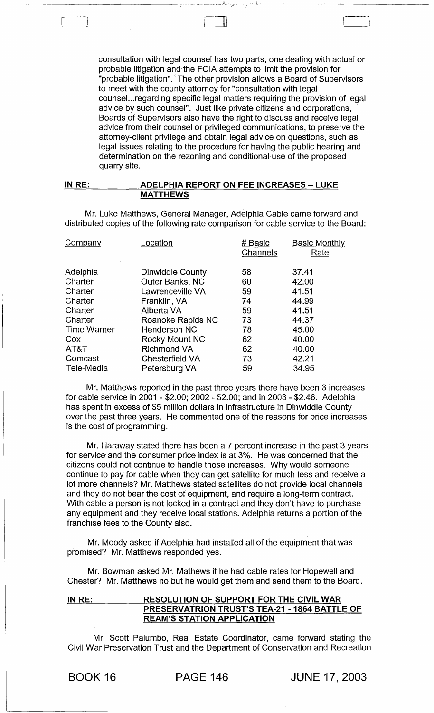consultation with legal counsel has two parts, one dealing with actual or probable litigation and the FOIA attempts to limit the provision for "probable litigation"." The other provision allows a Board of Supervisors to meet with the county attorney for "consultation with legal counsel...regarding specific legal matters requiring the provision of legal advice by such counsel". Just like private citizens and corporations, . Boards of Supervisors also have the right to discuss and receive legal advice from their counsel or privileged communications, to preserve the attorney-client privilege and obtain legal advice on questions, such as legal issues relating to the procedure for having the public hearing and determination on the rezoning and conditional use of the proposed quarry site.

Cl III ,--J

## IN RE: ADELPHIA REPORT ON FEE INCREASES - LUKE MATTHEWS

Mr. Luke Matthews, General Manager, Adelphia Cable came forward and distributed copies of the following rate comparison for cable service to the Board:

| Company            | .ocation               | # Basic<br>Channels | <b>Basic Monthly</b><br>Rate |
|--------------------|------------------------|---------------------|------------------------------|
| Adelphia           | Dinwiddie County       | 58                  | 37.41                        |
| Charter            | Outer Banks, NC        | 60                  | 42.00                        |
| Charter            | Lawrenceville VA       | 59                  | 41.51                        |
| Charter            | Franklin, VA           | 74                  | 44.99                        |
| Charter            | Alberta VA             | 59                  | 41.51                        |
| Charter            | Roanoke Rapids NC      | 73                  | 44.37                        |
| <b>Time Warner</b> | <b>Henderson NC</b>    | 78                  | 45.00                        |
| Cox                | Rocky Mount NC         | 62                  | 40.00                        |
| AT&T               | <b>Richmond VA</b>     | 62                  | 40.00                        |
| Comcast            | <b>Chesterfield VA</b> | 73                  | 42.21                        |
| Tele-Media         | Petersburg VA          | 59                  | 34.95                        |

Mr. Matthews reported in the past three years there have been 3 increases for cable service in 2001 - \$2.00; 2002 - \$2.00; and in 2003 - \$2.46. Adelphia has spent in excess of \$5 million dollars in infrastructure in Dinwiddie County over the past three years. He commented one of the reasons for price increases is the cost of programming.

Mr. Haraway stated there has been a 7 percent increase in the past 3 years for service and the consumer price index is at 3%. He was concerned that the citizens could not continue to handle those increases. Why would someone continue to pay for cable when they can get satellite for much less and receive a lot more channels? Mr. Matthews stated satellites do not provide local channels and they do not bear the cost of equipment, and require a long-term contract. With cable a person is not locked in a contract and they don't have to purchase any equipment and they receive local stations. Adelphia returns a portion of the franchise fees to the County also.

Mr. Moody asked if Adelphia had installed all of the equipment that was promised? Mr. Matthews responded yes.

Mr. Bowman asked Mr. Mathews if he had cable rates for Hopewell and Chester? Mr. Matthews no but he would get them and send them to the Board.

# IN RE: RESOLUTION OF SUPPORT FOR THE CIVIL WARE PRESERVATRION TRUST'S TEA-21 - 1864 BATTLE OF REAM'S STATION APPLICATION

Mr. Scott Palumbo, Real Estate Coordinator, came forward stating the Civil War Preservation Trust and the Department of Conservation and Recreation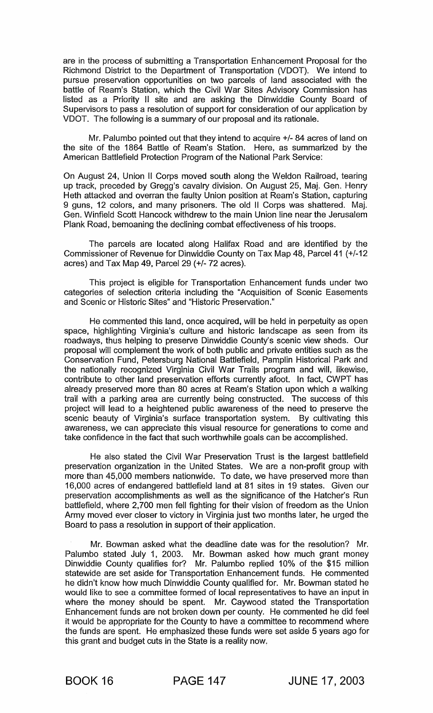are in the process of submitting a Transportation Enhancement Proposal for the Richmond District to the Department of Transportation (VDOT). We intend to pursue preservation opportunities on two parcels of land associated with the battle of Ream's Station, which the Civil War Sites Advisory Commission has listed as a Priority II site and are asking the Dinwiddie County Board of Supervisors to pass a resolution of support for consideration of our application by VDOT. The following is a summary of our proposal and its rationale.

Mr. Palumbo pointed out that they intend to acquire +/- 84 acres of land on the site of the 1864 Battle of Ream's Station. Here, as summarized by the American Battlefield Protection Program of the National Park Service:

On August 24, Union II Corps moved south along the Weldon Railroad, tearing up track, preceded by Gregg's cavalry division. On August 25, Maj. Gen. Henry Heth attacked and overran the faulty Union position at Ream's Station, capturing 9 guns, 12 colors, and many prisoners. The old II Corps was shattered. Maj. Gen. Winfield Scott Hancock withdrew to the main Union line near the Jerusalem Plank Road, bemoaning the declining combat effectiveness of his troops.

The parcels are located along Halifax Road and are identified by the Commissioner of Revenue for Dinwiddie County on Tax Map 48, Parcel 41 (+/-12 acres) and Tax Map 49, Parcel 29 (+/- 72 acres).

This project is eligible for Transportation Enhancement funds under two categories of selection criteria including the "Acquisition of Scenic Easements and Scenic or Historic Sites" and "Historic Preservation."

He commented this land, once acquired, will be held in perpetuity as open space, highlighting Virginia's culture and historic landscape as seen from its roadways, thus helping to preserve Dinwiddie County's scenic view sheds. Our proposal will complement the work of both public and private entities such as the Conservation Fund, Petersburg National Battlefield, Pamplin Historical Park and the nationally recognized Virginia Civil War Trails program and will, likewise, contribute to other land preservation efforts currently afoot. In fact, CWPT has already preserved more than 80 acres at Ream's Station upon which a walking trail with a parking area are currently being constructed. The success of this project will lead to a heightened public awareness of the need to preserve the scenic beauty of Virginia's surface transportation system. By cultivating this awareness, we can appreciate this visual resource for generations to come and take confidence in the fact that such worthwhile goals can be accomplished.

He also stated the Civil War Preservation Trust is the largest battlefield preservation organization in the United States. We are a non-profit group with more than 45,000 members nationwide. To date, we have preserved more than 16,000 acres of endangered battlefield land at 81 sites in 19 states. Given our preservation accomplishments as well as the significance of the Hatcher's Run battlefield, where 2,700 men fell fighting for their vision of freedom as the Union Army moved ever closer to victory in Virginia just two months later, he urged the Board to pass a resolution in support of their application.

Mr. Bowman asked what the deadline date was for the resolution? Mr. Palumbo stated July 1, 2003. Mr. Bowman asked how much grant money Dinwiddie County qualifies for? Mr. Palumbo replied 10% of the \$15 million statewide are set aside for Transportation Enhancement funds. He commented he didn't know how much Dinwiddie County qualified for. Mr. Bowman stated he would like to see a committee formed of local representatives to have an input in where the money should be spent. Mr. Caywood stated the Transportation Enhancement funds are not broken down per county. He commented he did feel it would be appropriate for the County to have a committee to recommend where the funds are spent. He emphasized these funds were set aside 5 years ago for this grant and budget cuts in the State is a reality now,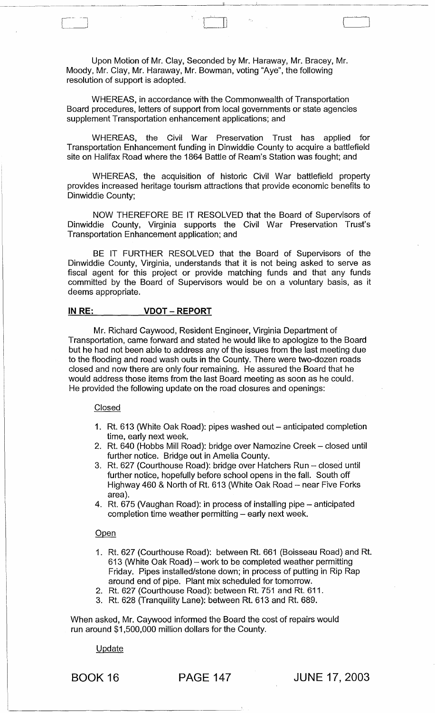Upon Motion of Mr. Clay, Seconded by Mr. Haraway, Mr. Bracey, Mr. Moody, Mr. Clay, Mr. Haraway, Mr. Bowman, voting "Aye", the following resolution of support is adopted.

WHEREAS, in accordance with the Commonwealth of Transportation Board procedures, letters of support from local governments or state agencies supplement Transportation enhancement applications; and

WHEREAS, the Civil War Preservation Trust has applied for Transportation Enhancement funding in Dinwiddie County to acquire a battlefield site on Halifax Road where the 1864 Battle of Ream's Station was fought; and

WHEREAS, the acquisition of historic Civil War battlefield property provides increased heritage tourism attractions that provide economic benefits to Dinwiddie County;

NOW THEREFORE BE IT RESOLVED that the Board of Supervisors of Dinwiddie County, Virginia supports the Civil War Preservation Trust's Transportation Enhancement application; and

BE IT FURTHER RESOLVED that the Board of Supervisors of the Dinwiddie County, Virginia, understands that it is not being asked to serve as fiscal agent for this project or provide matching funds and that any funds committed by the Board of Supervisors would be on a voluntary basis, as it deems appropriate.

## IN RE: VDOT - REPORT

Mr. Richard Caywood, Resident Engineer, Virginia Department of Transportation, came forward and stated he would like to apologize to the Board but he had not been able to address any of the issues from the last meeting due to the flooding and road wash outs in the County. There were two-dozen roads closed and now there are only four remaining. He assured the Board that he would address those items from the last Board meeting as soon as he could. He provided the following update on the road closures and openings:

#### **Closed**

- 1. Rt. 613 (White Oak Road): pipes washed out anticipated completion time, early next week,
- 2. Rt. 640 (Hobbs Mill Road): bridge over Namozine Creek closed until further notice. Bridge out in Amelia County.
- 3. Rt. 627 (Courthouse Road): bridge over Hatchers Run closed until further notice, hopefully before school opens in the fall. South off Highway 460 & North of Rt. 613 (White Oak Road - near Five Forks area).
- 4. Rt. 675 (Vaughan Road): in process of installing pipe anticipated  $completion$  time weather permitting  $-$  early next week.

#### **Open**

- 1. Rt. 627 (Courthouse Road): between Rt. 661 (Boisseau Road) and Rt. 613 (White Oak Road) - work to be completed weather permitting Friday. Pipes installed/stone down; in process of putting in Rip Rap around end of pipe. Plant mix scheduled for tomorrow.
- 2. Rt. 627 (Courthouse Road): between Rt. 751 and Rt. 611.
- 3. Rt. 628 (Tranquility Lane): between Rt. 613 and Rt. 689.

When asked, Mr. Caywood informed the Board the cost of repairs would run around \$1,500,000 million dollars for the County.

#### Update

'-------\_J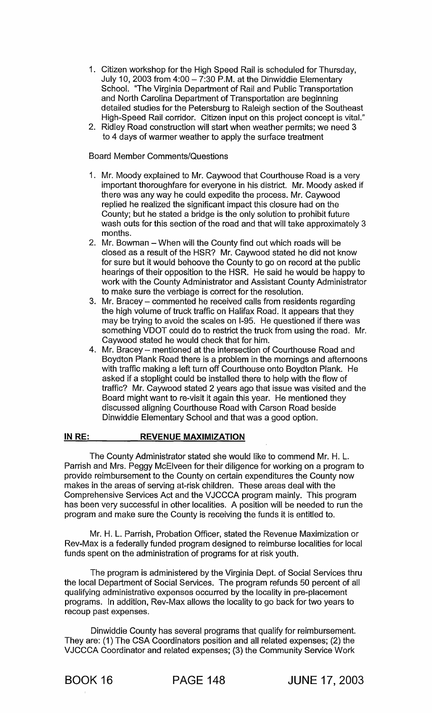- 1. Citizen workshop for the High Speed Rail is scheduled for Thursday, July 10, 2003 from  $4:00 - 7:30$  P.M. at the Dinwiddie Elementary School. "The Virginia Department of Rail and Public Transportation and North Carolina Department of Transportation are beginning detailed studies for the Petersburg to Raleigh section of the Southeast High-Speed Rail corridor. Citizen input on this project concept is vitaL"
- 2. Ridley Road construction will start when weather permits; we need 3 to 4 days of warmer weather to apply the surface treatment

# Board Member Comments/Questions

- 1. Mr. Moody explained to Mr. Caywood that Courthouse Road is a very important thoroughfare for everyone in his district. Mr. Moody asked if there was any way he could expedite the process. Mr. Caywood replied he realized the significant impact this closure had on the County; but he stated a bridge is the only solution to prohibit future wash outs for this section of the road and that will take approximately 3 months.
- 2. Mr. Bowman When will the County find out which roads will be closed as a result of the HSR? Mr. Caywood stated he did not know for sure but it would behoove the County to go on record at the public hearings of their opposition to the HSR. He said he would be happy to work with the County Administrator and Assistant County Administrator to make sure the verbiage is correct for the resolution.
- 3. Mr. Bracey commented he received calls from residents regarding the high volume of truck traffic on Halifax Road. It appears that they may be trying to avoid the scales on 1-95. He questioned if there was something VDOT could do to restrict the truck from using the road. Mr. Caywood stated he would check that for him.
- 4. Mr. Bracey mentioned at the intersection of Courthouse Road and Boydton Plank Road there is a problem in the mornings and afternoons with traffic making a left turn off Courthouse onto Boydton Plank. He asked if a stoplight could be installed there to help with the flow of traffic? Mr. Caywood stated 2 years ago that issue was visited and the Board might want to re-visit it again this year. He mentioned they discussed aligning Courthouse Road with Carson Road beside Dinwiddie Elementary School and that was a good option.

#### IN RE: REVENUE MAXIMIZATION

The County Administrator stated she would like to commend Mr. H. L. Parrish and Mrs. Peggy McElveen for their diligence for working on a program to provide reimbursement to the County on certain expenditures the County now makes in the areas of serving at-risk children. These areas deal with the Comprehensive Services Act and the VJCCCA program mainly. This program has been very successful in other localities. A position will be needed to run the program and make sure the County is receiving the funds it is entitled to.

Mr. H. L. Parrish, Probation Officer, stated the Revenue Maximization or Rev-Max is a federally funded program designed to reimburse localities for local funds spent on the administration of programs for at risk youth.

The program is administered by the Virginia Dept. of Social Services thru the local Department of Social Services. The program refunds 50 percent of all qualifying administrative expenses occurred by the locality in pre-placement programs. In addition, Rev-Max allows the locality to go back for two years to recoup past expenses.

Dinwiddie County has several programs that qualify for reimbursement. They are: (1) The CSA Coordinators position and all related expenses; (2) the VJCCCA Coordinator and related expenses; (3) the Community Service Work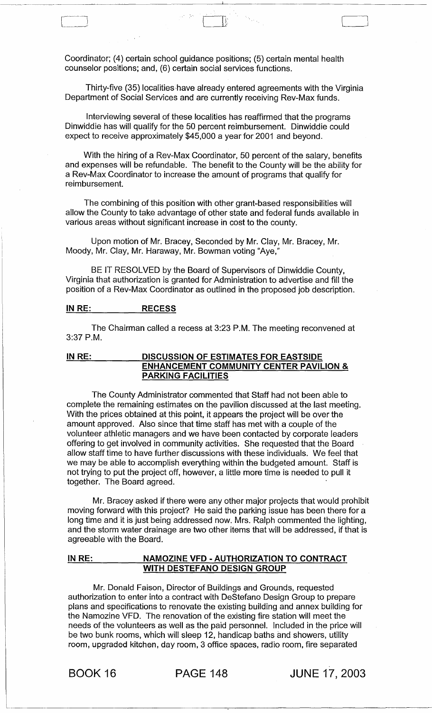Coordinator; (4) certain school guidance positions; (5) certain mental health counselor positions; and, (6) certain social services functions.

Thirty-five (35) localities have already entered agreements with the Virginia Department of Social Services and are currently receiving Rev-Max funds.

\ II t: '---\_J

Interviewing several of these localities has reaffirmed that the programs Dinwiddie has will qualify for the 50 percent reimbursement. Dinwiddie could expect to receive approximately \$45,000 a year for 2001 and beyond.

With the hiring of a Rev-Max Coordinator, 50 percent of the salary, benefits and expenses will be refundable. The benefit to the County will be the ability for a Rev-Max Coordinator to increase the amount of programs that qualify for reimbursement.

The combining of this position with other grant-based responsibilities will allow the County to take advantage of other state and federal funds available in various areas without significant increase in cost to the county.

Upon motion of Mr. Bracey, Seconded by Mr. Clay, Mr. Bracey, Mr. Moody, Mr. Clay, Mr. Haraway, Mr. Bowman voting "Aye,"

BE IT RESOLVED by the Board of Supervisors of Dinwiddie County, Virginia that authorization is granted for Administration to advertise and fill the position of a Rev-Max Coordinator as outlined in the proposed job description.

# IN RE: RECESS

The Chairman called a recess at 3:23 P.M. The meeting reconvened at 3:37 P.M.

## IN RE: DISCUSSION OF ESTIMATES FOR EASTSIDE ENHANCEMENT COMMUNITY CENTER PAVILION & PARKING FACILITIES

The County Administrator commented that Staff had not been able to complete the remaining estimates on the pavilion discussed at the last meeting. With the prices obtained at this point, it appears the project will be over the amount approved. Also since that time staff has met with a couple of the volunteer athletic managers and we have been contacted by corporate leaders offering to get involved in community activities. She requested that the Board allow staff time to have further discussions with these individuals. We feel that we may be able to accomplish everything within the budgeted amount. Staff is not trying to put the project off, however, a little more time is needed to pull it together. The Board agreed.

Mr. Bracey asked if there were any other major projects that would prohibit moving forward with this project? He said the parking issue has been there for a long time and it is just being addressed now. Mrs. Ralph commented the lighting, and the storm water drainage are two other items that will be addressed, if that is agreeable with the Board.

# IN RE: NAMOZINE VFD - AUTHORIZATION TO CONTRACT WITH DESTEFANO DESIGN GROUP

Mr. Donald Faison, Director of Buildings and Grounds, requested authorization to enter into a contract with DeStefano Design Group to prepare plans and specifications to renovate the existing building and annex building for the Namozine VFD. The renovation of the existing fire station will meet the needs of the volunteers as well as the paid personnel. Included in the price will be two bunk rooms, which will sleep 12, handicap baths and showers, utility room, upgraded kitchen, day room, 3 office spaces, radio room, fire separated

BOOK 16 PAGE 148 JUNE 17,2003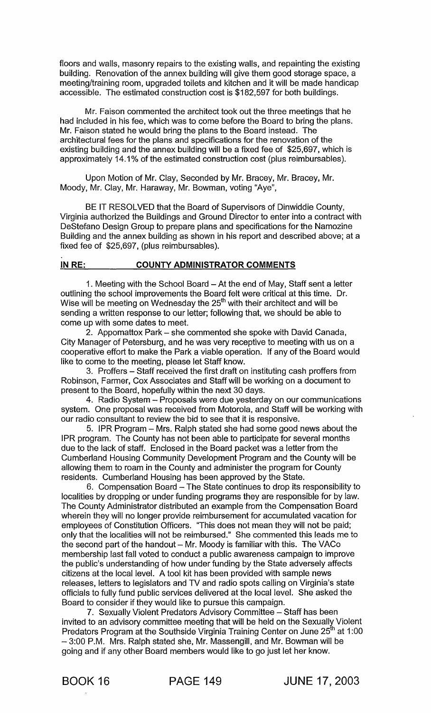floors and walls, masonry repairs to the existing walls, and repainting the existing building. Renovation of the annex building will give them good storage space, a meeting/training room, upgraded toilets and kitchen and it will be made handicap accessible. The estimated construction cost is \$182,597 for both buildings.

Mr. Faison commented the architect took out the three meetings that he had included in his fee, which was to come before the Board to bring the plans. Mr. Faison stated he would bring the plans to the Board instead. The architectural fees for the plans and specifications for the renovation of the existing building and the annex building will be a fixed fee of \$25,697, which is approximately 14.1 % of the estimated construction cost (plus reimbursables).

Upon Motion of Mr. Clay, Seconded by Mr. Bracey, Mr. Bracey, Mr. Moody, Mr. Clay, Mr. Haraway, Mr. Bowman, voting "Aye",

BE IT RESOLVED that the Board of Supervisors of Dinwiddie County, Virginia authorized the Buildings and Ground Director to enter into a contract with DeStefano Design Group to prepare plans and specifications for the Namozine Building and the annex building as shown in his report and described above; at a fixed fee of \$25,697, (plus reimbursables).

# IN RE: COUNTY ADMINISTRATOR COMMENTS

1. Meeting with the School Board - At the end of May, Staff sent a letter outlining the school improvements the Board felt were critical at this time. Dr. Wise will be meeting on Wednesday the  $25<sup>th</sup>$  with their architect and will be sending a written response to our letter; following that, we should be able to come up with some dates to meet.

2. Appomattox Park – she commented she spoke with David Canada, City Manager of Petersburg, and he was very receptive to meeting with us on a cooperative effort to make the Park a viable operation. If any of the Board would like to come to the meeting, please let Staff know.

3. Proffers - Staff received the first draft on instituting cash proffers from Robinson, Farmer, Cox Associates and Staff will be working on a document to present to the Board, hopefully within the next 30 days.

4. Radio System - Proposals were due yesterday on our communications system. One proposal was received from Motorola, and Staff will be working with our radio consultant to review the bid to see that it is responsive.

5. IPR Program - Mrs. Ralph stated she had some good news about the IPR program. The County has not been able to participate for several months due to the lack of staff. Enclosed in the Board packet was a letter from the Cumberland Housing Community Development Program and the County will be allowing them to roam in the County and administer the program for County residents. Cumberland Housing has been approved by the State.

6. Compensation Board - The State continues to drop its responsibility to localities by dropping or under funding programs they are responsible for by law. The County Administrator distributed an example from the Compensation Board wherein they will no longer provide reimbursement for accumulated vacation for employees of Constitution Officers. "This does not mean they will not be paid; only that the localities will not be reimbursed." She commented this leads me to the second part of the handout  $-$  Mr. Moody is familiar with this. The VACo membership last fall voted to conduct a public awareness campaign to improve the public's understanding of how under funding by the State adversely affects citizens at the local level. A tool kit has been provided with sample news releases, letters to legislators and TV and radio spots calling on Virginia's state officials to fully fund public services delivered at the local level. She asked the Board to consider if they would like to pursue this campaign.

7. Sexually Violent Predators Advisory Committee - Staff has been invited to an advisory committee meeting that will be held on the Sexually Violent Predators Program at the Southside Virginia Training Center on June 25<sup>th</sup> at 1:00 - 3:00 P.M. Mrs. Ralph stated she, Mr. Massengill, and Mr. Bowman will be going and if any other Board members would like to go just let her know.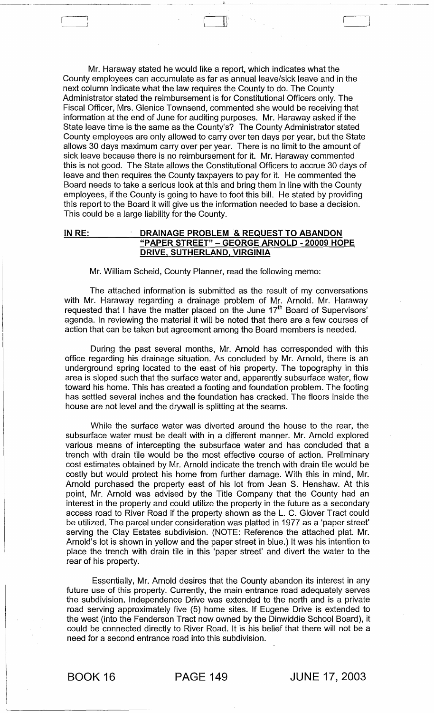Mr. Haraway stated he would like a report, which indicates what the County employees can accumulate as far as annual leave/sick leave and in the next column indicate what the law requires the County to do. The County Administrator stated the reimbursement is for Constitutional Officers only. The Fiscal Officer, Mrs. Glenice Townsend, commented she would be receiving that information at the end of June for auditing purposes. Mr. Haraway asked if the State leave time is the same as the County's? The County Administrator stated County employees are only allowed to carry over ten days per year, but the State allows 30 days maximum carry over per year. There is no limit to the amount of sick leave because there is no reimbursement for it. Mr. Haraway commented this is not good. The State allows the Constitutional Officers to accrue 30 days of leave and then requires the County taxpayers to pay for it. He commented the Board needs to take a serious look at this and bring them in line with the County employees, if the County is going to have to foot this bill. He stated by providing this report to the Board it will give us the information needed to base a decision. This could be a large liability for the County.

 $\begin{bmatrix} 1 & 1 \\ 1 & 1 \end{bmatrix}$ 

## INRE: DRAINAGE PROBLEM & REQUEST TO ABANDON "PAPER STREET" - GEORGE ARNOLD - 20009 HOPE DRIVE, SUTHERLAND, VIRGINIA

Mr. William Scheid, County Planner, read the following memo:

The attached information is submitted as the result of my conversations with Mr. Haraway regarding a drainage problem of Mr. Arnold. Mr. Haraway requested that I have the matter placed on the June 17<sup>th</sup> Board of Supervisors' agenda. In reviewing the material it will be noted that there are a few courses of action that can be taken but agreement among the Board members is needed.

During the past several months, Mr. Arnold has corresponded with this office regarding his drainage situation. As concluded by Mr. Arnold, there is an underground spring located to the east of his property. The topography in this area is sloped such that the surface water and, apparently subsurface water, flow toward his home. This has created a footing and foundation problem. The footing has settled several inches and the foundation has cracked. The floors inside the house are not level and the drywall is splitting at the seams.

While the surface water was diverted around the house to the rear, the subsurface water must be dealt with in a different manner. Mr. Arnold explored various means of intercepting the subsurface water and has concluded that a trench with drain tile would be the most effective course of action. Preliminary cost estimates obtained by Mr. Arnold indicate the trench with drain tile would be costly but would protect his home from further damage. With this in mind, Mr. Arnold purchased the property east of his lot from Jean S. Henshaw. At this point, Mr. Arnold was advised by the Title Company that the County had an interest in the property and could utilize the property in the future as a secondary access road to River Road if the property shown as the L. C. Glover Tract could be utilized. The parcel under consideration was platted in 1977 as a 'paper street' serving the Clay Estates subdivision. (NOTE: Reference the attached plat. Mr. Arnold's lot is shown in yellow and the paper street in blue.) It was his intention to place the trench with drain tile in this 'paper street' and divert the water to the rear of his property.

Essentially, Mr. Arnold desires that the County abandon its interest in any future use of this property. Currently, the main entrance road adequately serves the subdivision. Independence Drive was extended to the north and is a private road serving approximately five (5) home sites. If Eugene Drive is extended to the west (into the Fenderson Tract now owned by the Dinwiddie School Board), it could be connected directly to River Road. It is his belief that there will not be a need for a second entrance road into this subdivision.

BOOK 16 PAGE 149 JUNE 17,2003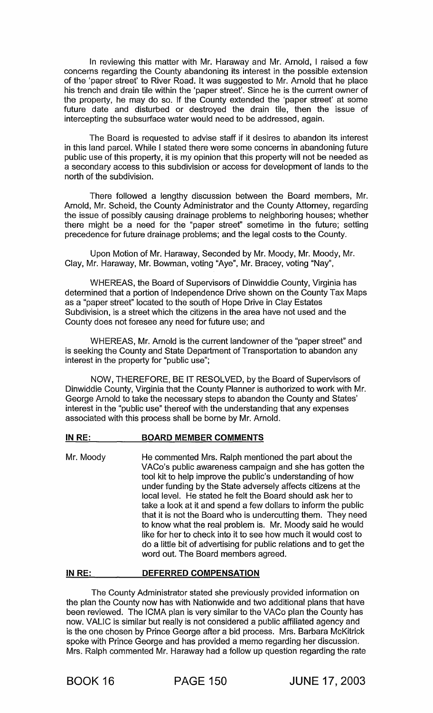In reviewing this matter with Mr. Haraway and Mr. Arnold, I raised a few concerns regarding the County abandoning its interest in the possible extension of the 'paper street' to River Road. It was suggested to Mr. Arnold that he place his trench and drain tile within the 'paper street'. Since he is the current owner of the property, he may do so. If the County extended the 'paper street' at some future date and disturbed or destroyed the drain tile, then the issue of intercepting the subsurface water would need to be addressed, again.

The Board is requested to advise staff if it desires to abandon its interest in this land parcel. While I stated there were some concerns in abandoning future public use of this property, it is my opinion that this property will not be needed as a secondary access to this subdivision or access for development of lands to the north of the subdivision.

There followed a lengthy discussion between the Board members, Mr. Arnold, Mr. Scheid, the County Administrator and the County Attorney, regarding the issue of possibly causing drainage problems to neighboring houses; whether there might be a need for the "paper street" sometime in the future; setting precedence for future drainage problems; and the legal costs to the County.

Upon Motion of Mr. Haraway, Seconded by Mr. Moody, Mr. Moody, Mr. Clay, Mr. Haraway, Mr. Bowman, voting "Aye", Mr. Bracey, voting "Nay",

WHEREAS, the Board of Supervisors of Dinwiddie County, Virginia has determined that a portion of Independence Drive shown on the County Tax Maps as a "paper street" located to the south of Hope Drive in Clay Estates Subdivision, is a street which the citizens in the area have not used and the County does not foresee any need for future use; and

WHEREAS, Mr. Arnold is the current landowner of the "paper street" and is seeking the County and State Department of Transportation to abandon any interest in the property for "public use";

NOW, THEREFORE, BE IT RESOLVED, by the Board of Supervisors of Dinwiddie County, Virginia that the County Planner is authorized to work with Mr. George Arnold to take the necessary steps to abandon the County and States' interest in the "public use" thereof with the understanding that any expenses associated with this process shall be borne by Mr. Arnold.

#### IN RE: BOARD MEMBER COMMENTS

Mr. Moody He commented Mrs. Ralph mentioned the part about the VACo's public awareness campaign and she has gotten the tool kit to help improve the public's understanding of how under funding by the State adversely affects citizens at the local level. He stated he felt the Board should ask her to take a look at it and spend a few dollars to inform the public that it is not the Board who is undercutting them. They need to know what the real problem is. Mr. Moody said he would like for her to check into it to see how much it would cost to do a little bit of advertising for public relations and to get the word out. The Board members agreed.

#### IN RE: DEFERRED COMPENSATION

The County Administrator stated she previously provided information on the plan the County now has with Nationwide and two additional plans that have been reviewed. The ICMA plan is very similar to the VACo plan the County has now. VALIC is similar but really is not considered a public affiliated agency and is the one chosen by Prince George after a bid process. Mrs. Barbara McKitrick spoke with Prince George and has provided a memo regarding her discussion. Mrs. Ralph commented Mr. Haraway had a follow up question regarding the rate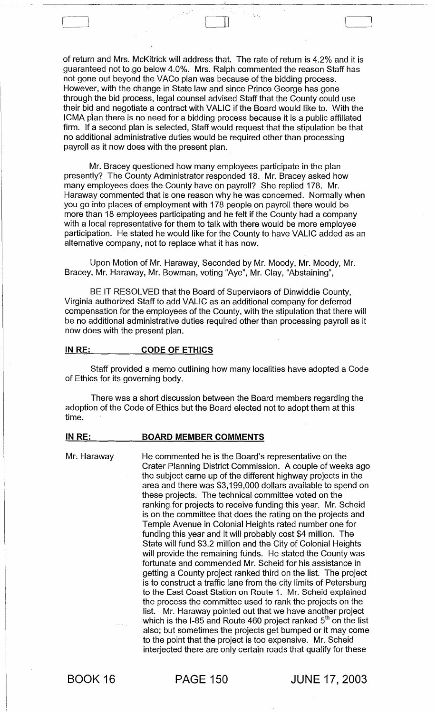of return and Mrs. McKitrick will address that. The rate of return is 4.2% and it is guaranteed not to go below 4.0%. Mrs. Ralph commented the reason Staff has not gone out beyond the VACo plan was because of the bidding process. However, with the change in State law and since Prince George has gone through the bid process, legal counsel advised Staff that the County could use their bid and negotiate a contract with VALIC if the Board would like to. With the ICMA plan there is no need for a bidding process because it is a public affiliated firm. If a second plan is selected, Staff would request that the stipulation be that no additional administrative duties would be required other than processing payroll as it now does with the present plan.

 $\mathbb L$ 

Mr. Bracey questioned how many employees participate in the plan presently? The County Administrator responded 18. Mr. Bracey asked how many employees does the County have on payroll? She replied 178. Mr. Haraway commented that is one reason why he was concerned. Normally when you go into places of employment with 178 people on payroll there would be more than 18 employees participating and he felt if the County had a company with a local representative for them to talk with there would be more employee participation. He stated he would like for the County to have VALIC added as an alternative company, not to replace what it has now.

Upon Motion of Mr. Haraway, Seconded by Mr. Moody, Mr. Moody, Mr. Bracey, Mr. Haraway, Mr. Bowman, voting "Aye", Mr. Clay, "Abstaining",

BE IT RESOLVED that the Board of Supervisors of Dinwiddie County, Virginia authorized Staff to add VALIC as an additional company for deferred compensation for the employees of the County, with the stipulation that there will be no additional administrative duties required other than processing payroll as it now does with the present plan.

#### IN RE: CODE OF ETHICS

Staff provided a memo outlining how many localities have adopted a Code of Ethics for its governing body.

There was a short discussion between the Board members regarding the adoption of the Code of Ethics but the Board elected not to adopt them at this time.

#### IN RE: BOARD MEMBER COMMENTS

Mr. Haraway He commented he is the Board's representative on the Crater Planning District Commission. A couple of weeks ago the subject came up of the different highway projects in the area and there was \$3,199,000 dollars available to spend on these projects. The technical committee voted on the ranking for projects to receive funding this year. Mr. Scheid is on the committee that does the rating on the projects and Temple Avenue in Colonial Heights rated number one for funding this year and it will probably cost \$4 million. The State will fund \$3.2 million and the City of Colonial Heights will provide the remaining funds. He stated the County was fortunate and commended Mr. Scheid for his assistance in getting a County project ranked third on the list. The project is to construct a traffic lane from the city limits of Petersburg to the East Coast Station on Route 1. Mr. Scheid explained the process the committee used to rank the projects on the list. Mr. Haraway pointed out that we have another project which is the I-85 and Route 460 project ranked  $5<sup>th</sup>$  on the list also; but sometimes the projects get bumped or it may come to the point that the project is too expensive. Mr. Scheid interjected there are only certain roads that qualify for these

BOOK 16

PAGE 150 JUNE 17,2003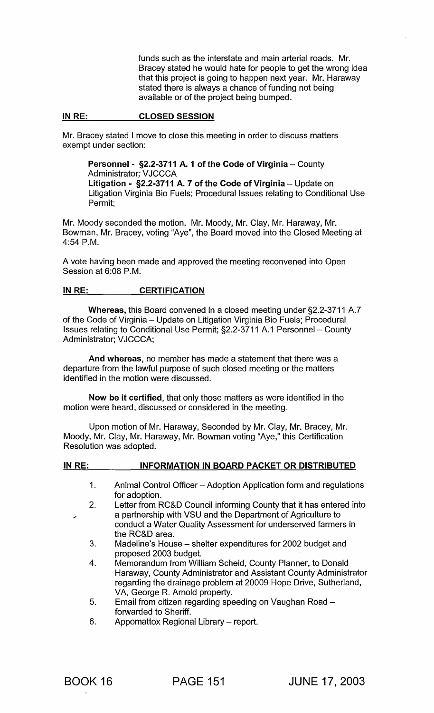funds such as the interstate and main arterial roads. Mr. Bracey stated he would hate for people to get the wrong idea that this project is going to happen next year. Mr. Haraway stated there is always a chance of funding not being available or of the project being bumped.

#### IN RE: CLOSED SESSION

Mr. Bracey stated I move to close this meeting in order to discuss matters exempt under section:

Personnel - §2.2-3711 A. 1 of the Code of Virginia - County Administrator; VJCCCA Litigation - §2.2-3711 A. 7 of the Code of Virginia - Update on Litigation Virginia Bio Fuels; Procedural Issues relating to Conditional Use Permit;

Mr. Moody seconded the motion. Mr. Moody, Mr. Clay, Mr. Haraway, Mr. Bowman, Mr. Bracey, voting "Aye", the Board moved into the Closed Meeting at 4:54 P.M.

A vote having been made and approved the meeting reconvened into Open Session at 6:08 P.M.

# IN RE: CERTIFICATION

Whereas, this Board convened in a closed meeting under §2.2-3711 A.7 of the Code of Virginia - Update on Litigation Virginia Bio Fuels; Procedural Issues relating to Conditional Use Permit; §2.2-3711 A.1 Personnel - County Administrator; VJCCCA;

And whereas, no member has made a statement that there was a departure from the lawful purpose of such closed meeting or the matters identified in the motion were discussed.

Now be it certified, that only those matters as were identified in the motion were heard, discussed or considered in the meeting.

Upon motion of Mr. Haraway, Seconded by Mr. Clay, Mr. Bracey, Mr. Moody, Mr. Clay, Mr. Haraway, Mr. Bowman voting "Aye," this Certification Resolution was adopted.

| IN RE: | <b>INFORMATION IN BOARD PACKET OR DISTRIBUTED</b>                                                                                                                                                                                  |
|--------|------------------------------------------------------------------------------------------------------------------------------------------------------------------------------------------------------------------------------------|
| 1.     | Animal Control Officer - Adoption Application form and regulations<br>for adoption.                                                                                                                                                |
| 2.     | Letter from RC&D Council informing County that it has entered into<br>a partnership with VSU and the Department of Agriculture to<br>conduct a Water Quality Assessment for underserved farmers in<br>the RC&D area.               |
| 3.     | Madeline's House – shelter expenditures for 2002 budget and<br>proposed 2003 budget.                                                                                                                                               |
| 4.     | Memorandum from William Scheid, County Planner, to Donald<br>Haraway, County Administrator and Assistant County Administrator<br>regarding the drainage problem at 20009 Hope Drive, Sutherland,<br>VA, George R. Arnold property. |
| 5.     | Email from citizen regarding speeding on Vaughan Road -<br>forwarded to Sheriff.                                                                                                                                                   |
| 6.     | Appomattox Regional Library - report.                                                                                                                                                                                              |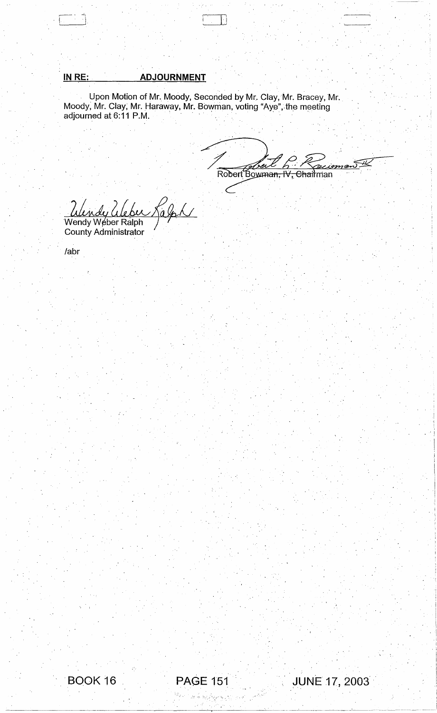# **INRE: ADJOURNMENT**

Upon Motion of Mr. Moody, Seconded byMr. Clay, Mr. Bracey, Mr. Moody, Mr. Clay, Mr. Haraway, Mr. Bowman, voting "Aye", the meeting Upon Motion of Mr. Moody, Seconded by Mr. Clay, I<br>Moody, Mr. Clay, Mr. Haraway, Mr. Bowman, voting "Aye",<br>adjourned at 6:11 P.M.

), it is in the set of  $\overline{\mathbb{C}\cup\mathbb{D}}$  in the set of  $\overline{\mathbb{C}\cup\mathbb{D}}$ 

Clear 6 wm<del>an,</del>  $\sqrt{2}$ <del>IV, Chail</del>man  $\frac{2}{\sqrt{2}}$ 

Wendy Weber Kalph County Administrator

labr





 $\mathcal{M} \stackrel{\mathcal{L}}{\Rightarrow} \mathcal{M}_1 \stackrel{\mathcal{L}_2}{\Rightarrow} \mathcal{C} \stackrel{\mathcal{L}_3}{\Rightarrow} \mathcal{C} \stackrel{\mathcal{L}_1}{\leftrightarrow} \mathcal{C}$ 



. \_.\_----- -~---~--- --~-